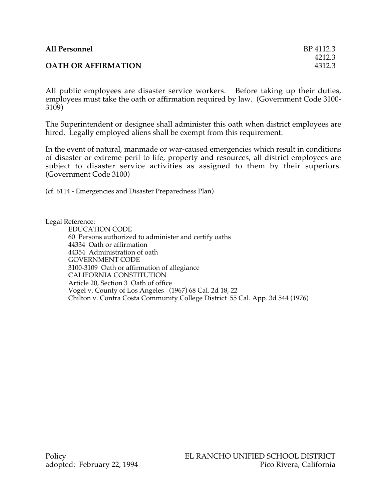| <b>All Personnel</b>       | BP 4112.3 |
|----------------------------|-----------|
|                            | 4212.3    |
| <b>OATH OR AFFIRMATION</b> | 4312.3    |

All public employees are disaster service workers. Before taking up their duties, employees must take the oath or affirmation required by law. (Government Code 3100- 3109)

The Superintendent or designee shall administer this oath when district employees are hired. Legally employed aliens shall be exempt from this requirement.

In the event of natural, manmade or war-caused emergencies which result in conditions of disaster or extreme peril to life, property and resources, all district employees are subject to disaster service activities as assigned to them by their superiors. (Government Code 3100)

(cf. 6114 - Emergencies and Disaster Preparedness Plan)

Legal Reference:

EDUCATION CODE 60 Persons authorized to administer and certify oaths 44334 Oath or affirmation 44354 Administration of oath GOVERNMENT CODE 3100-3109 Oath or affirmation of allegiance CALIFORNIA CONSTITUTION Article 20, Section 3 Oath of office Vogel v. County of Los Angeles (1967) 68 Cal. 2d 18, 22 Chilton v. Contra Costa Community College District 55 Cal. App. 3d 544 (1976)